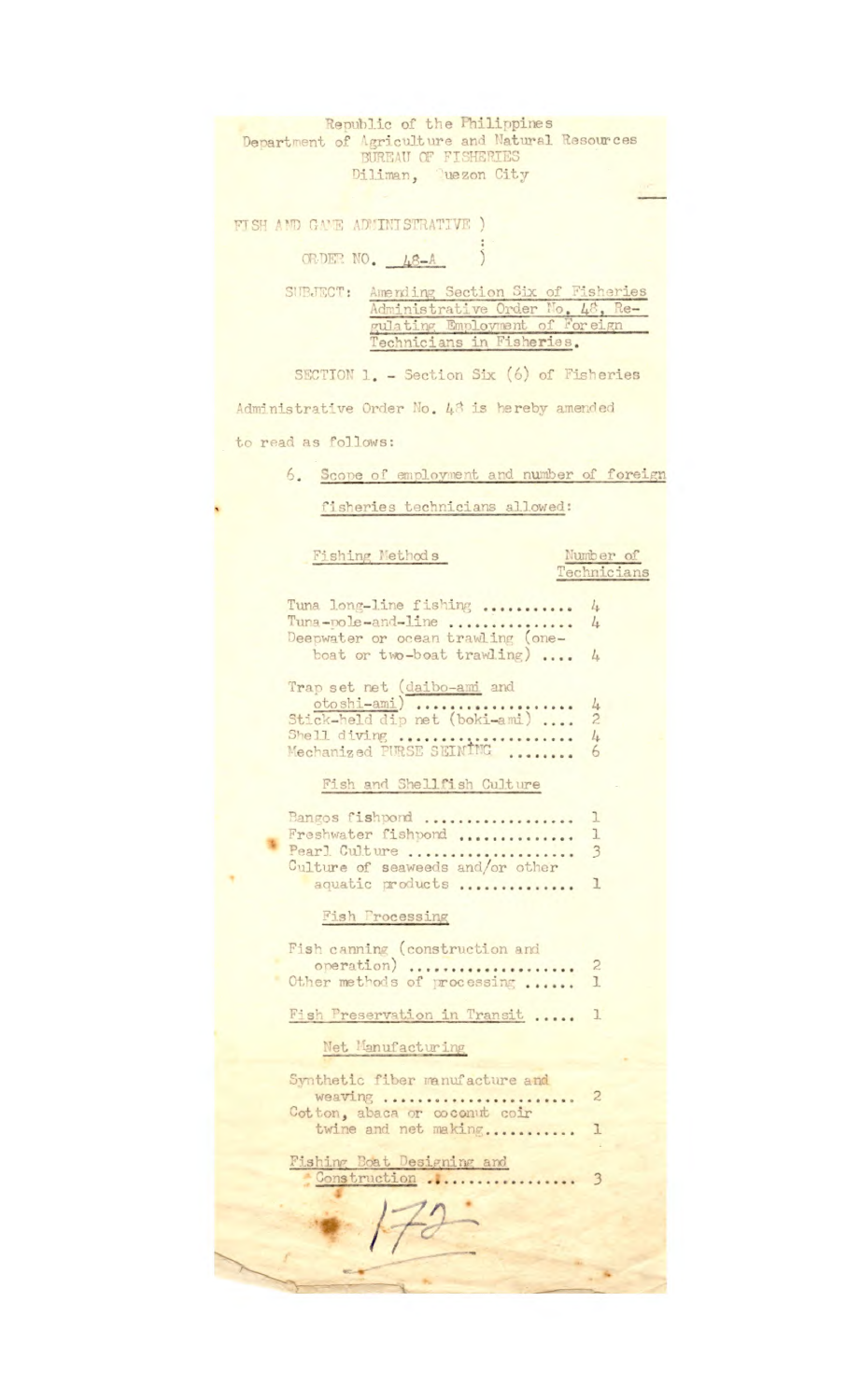